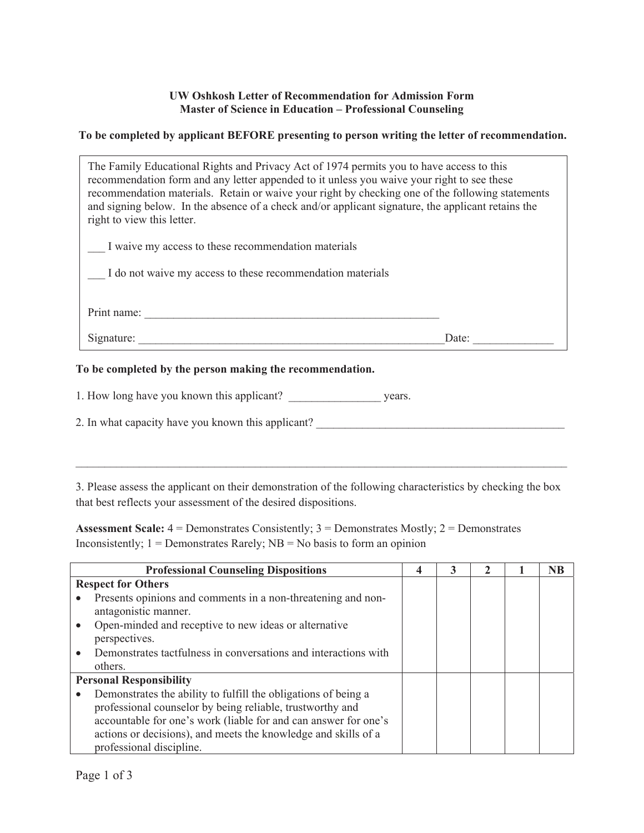## **UW Oshkosh Letter of Recommendation for Admission Form Master of Science in Education – Professional Counseling**

## **To be completed by applicant BEFORE presenting to person writing the letter of recommendation.**

| The Family Educational Rights and Privacy Act of 1974 permits you to have access to this<br>recommendation form and any letter appended to it unless you waive your right to see these<br>recommendation materials. Retain or waive your right by checking one of the following statements<br>and signing below. In the absence of a check and/or applicant signature, the applicant retains the<br>right to view this letter. |       |  |
|--------------------------------------------------------------------------------------------------------------------------------------------------------------------------------------------------------------------------------------------------------------------------------------------------------------------------------------------------------------------------------------------------------------------------------|-------|--|
| I waive my access to these recommendation materials                                                                                                                                                                                                                                                                                                                                                                            |       |  |
| I do not waive my access to these recommendation materials                                                                                                                                                                                                                                                                                                                                                                     |       |  |
|                                                                                                                                                                                                                                                                                                                                                                                                                                |       |  |
| Print name:                                                                                                                                                                                                                                                                                                                                                                                                                    |       |  |
| Signature:                                                                                                                                                                                                                                                                                                                                                                                                                     | Date: |  |

## **To be completed by the person making the recommendation.**

| 1. How long have you known this applicant?<br>vears. |  |  |  |  |  |
|------------------------------------------------------|--|--|--|--|--|
|------------------------------------------------------|--|--|--|--|--|

2. In what capacity have you known this applicant?

3. Please assess the applicant on their demonstration of the following characteristics by checking the box that best reflects your assessment of the desired dispositions.

**Assessment Scale:** 4 = Demonstrates Consistently; 3 = Demonstrates Mostly; 2 = Demonstrates Inconsistently;  $1 =$  Demonstrates Rarely;  $NB =$  No basis to form an opinion

| <b>Professional Counseling Dispositions</b>                     | 4 | 3 |  | <b>NB</b> |
|-----------------------------------------------------------------|---|---|--|-----------|
| <b>Respect for Others</b>                                       |   |   |  |           |
| Presents opinions and comments in a non-threatening and non-    |   |   |  |           |
| antagonistic manner.                                            |   |   |  |           |
| Open-minded and receptive to new ideas or alternative           |   |   |  |           |
| perspectives.                                                   |   |   |  |           |
| Demonstrates tactfulness in conversations and interactions with |   |   |  |           |
| others.                                                         |   |   |  |           |
| <b>Personal Responsibility</b>                                  |   |   |  |           |
| Demonstrates the ability to fulfill the obligations of being a  |   |   |  |           |
| professional counselor by being reliable, trustworthy and       |   |   |  |           |
| accountable for one's work (liable for and can answer for one's |   |   |  |           |
| actions or decisions), and meets the knowledge and skills of a  |   |   |  |           |
| professional discipline.                                        |   |   |  |           |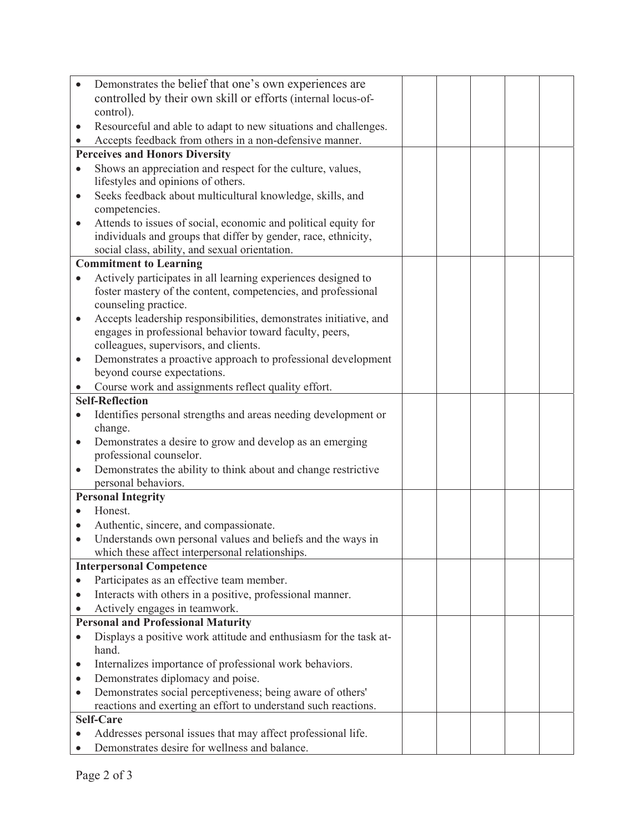| Demonstrates the belief that one's own experiences are                                                    |  |  |  |
|-----------------------------------------------------------------------------------------------------------|--|--|--|
| controlled by their own skill or efforts (internal locus-of-                                              |  |  |  |
| control).                                                                                                 |  |  |  |
| Resourceful and able to adapt to new situations and challenges.<br>$\bullet$                              |  |  |  |
| Accepts feedback from others in a non-defensive manner.<br>$\bullet$                                      |  |  |  |
| <b>Perceives and Honors Diversity</b>                                                                     |  |  |  |
| Shows an appreciation and respect for the culture, values,<br>$\bullet$                                   |  |  |  |
| lifestyles and opinions of others.                                                                        |  |  |  |
| Seeks feedback about multicultural knowledge, skills, and<br>$\bullet$<br>competencies.                   |  |  |  |
| Attends to issues of social, economic and political equity for<br>$\bullet$                               |  |  |  |
| individuals and groups that differ by gender, race, ethnicity,                                            |  |  |  |
| social class, ability, and sexual orientation.                                                            |  |  |  |
| <b>Commitment to Learning</b>                                                                             |  |  |  |
| Actively participates in all learning experiences designed to<br>$\bullet$                                |  |  |  |
| foster mastery of the content, competencies, and professional                                             |  |  |  |
| counseling practice.                                                                                      |  |  |  |
| Accepts leadership responsibilities, demonstrates initiative, and<br>$\bullet$                            |  |  |  |
| engages in professional behavior toward faculty, peers,                                                   |  |  |  |
| colleagues, supervisors, and clients.                                                                     |  |  |  |
| Demonstrates a proactive approach to professional development<br>$\bullet$<br>beyond course expectations. |  |  |  |
| Course work and assignments reflect quality effort.                                                       |  |  |  |
| <b>Self-Reflection</b>                                                                                    |  |  |  |
| Identifies personal strengths and areas needing development or<br>$\bullet$                               |  |  |  |
| change.                                                                                                   |  |  |  |
| Demonstrates a desire to grow and develop as an emerging<br>$\bullet$                                     |  |  |  |
| professional counselor.                                                                                   |  |  |  |
| Demonstrates the ability to think about and change restrictive<br>$\bullet$                               |  |  |  |
| personal behaviors.                                                                                       |  |  |  |
| <b>Personal Integrity</b>                                                                                 |  |  |  |
| Honest.                                                                                                   |  |  |  |
| Authentic, sincere, and compassionate.<br>$\bullet$                                                       |  |  |  |
| Understands own personal values and beliefs and the ways in<br>$\bullet$                                  |  |  |  |
| which these affect interpersonal relationships.                                                           |  |  |  |
| <b>Interpersonal Competence</b>                                                                           |  |  |  |
| Participates as an effective team member.                                                                 |  |  |  |
| Interacts with others in a positive, professional manner.<br>$\bullet$                                    |  |  |  |
| Actively engages in teamwork.                                                                             |  |  |  |
| <b>Personal and Professional Maturity</b>                                                                 |  |  |  |
| Displays a positive work attitude and enthusiasm for the task at-<br>$\bullet$<br>hand.                   |  |  |  |
| Internalizes importance of professional work behaviors.<br>$\bullet$                                      |  |  |  |
| Demonstrates diplomacy and poise.<br>٠                                                                    |  |  |  |
| Demonstrates social perceptiveness; being aware of others'<br>$\bullet$                                   |  |  |  |
| reactions and exerting an effort to understand such reactions.                                            |  |  |  |
| <b>Self-Care</b>                                                                                          |  |  |  |
| Addresses personal issues that may affect professional life.<br>$\bullet$                                 |  |  |  |
| Demonstrates desire for wellness and balance.                                                             |  |  |  |